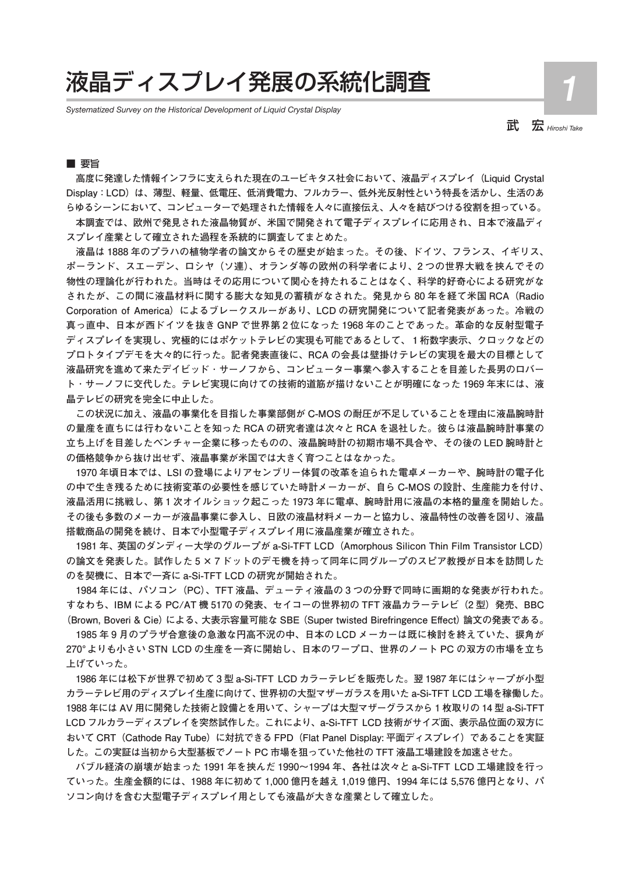# 液晶ディスプレイ発展の系統化調査

*Systematized Survey on the Historical Development of Liquid Crystal Display*

武 宏 *Hiroshi Take*

**1**

## ■ 要旨

**高度に発達した情報インフラに支えられた現在のユービキタス社会において、液晶ディスプレイ(Liquid Crystal Display:LCD)は、薄型、軽量、低電圧、低消費電力、フルカラー、低外光反射性という特長を活かし、生活のあ らゆるシーンにおいて、コンピューターで処理された情報を人々に直接伝え、人々を結びつける役割を担っている。**

**本調査では、欧州で発見された液晶物質が、米国で開発されて電子ディスプレイに応用され、日本で液晶ディ スプレイ産業として確立された過程を系統的に調査してまとめた。**

**液晶は 1888 年のプラハの植物学者の論文からその歴史が始まった。その後、ドイツ、フランス、イギリス、 ポーランド、スエーデン、ロシヤ(ソ連)、オランダ等の欧州の科学者により、2 つの世界大戦を挟んでその 物性の理論化が行われた。当時はその応用について関心を持たれることはなく、科学的好奇心による研究がな されたが、この間に液晶材料に関する膨大な知見の蓄積がなされた。発見から 80 年を経て米国 RCA(Radio Corporation of America)によるブレークスルーがあり、LCD の研究開発について記者発表があった。冷戦の 真っ直中、日本が西ドイツを抜き GNP で世界第 2 位になった 1968 年のことであった。革命的な反射型電子 ディスプレイを実現し、究極的にはポケットテレビの実現も可能であるとして、1桁数字表示、クロックなどの プロトタイプデモを大々的に行った。記者発表直後に、RCA の会長は壁掛けテレビの実現を最大の目標として 液晶研究を進めて来たデイビッド ・ サーノフから、コンピューター事業へ参入することを目差した長男のロバー ト ・ サーノフに交代した。テレビ実現に向けての技術的道筋が描けないことが明確になった 1969 年末には、液 晶テレビの研究を完全に中止した。**

**この状況に加え、液晶の事業化を目指した事業部側が C-MOS の耐圧が不足していることを理由に液晶腕時計 の量産を直ちには行わないことを知った RCA の研究者達は次々と RCA を退社した。彼らは液晶腕時計事業の 立ち上げを目差したベンチャー企業に移ったものの、液晶腕時計の初期市場不具合や、その後の LED 腕時計と の価格競争から抜け出せず、液晶事業が米国では大きく育つことはなかった。**

**1970 年頃日本では、LSI の登場によりアセンブリー体質の改革を迫られた電卓メーカーや、腕時計の電子化 の中で生き残るために技術変革の必要性を感じていた時計メーカーが、自ら C-MOS の設計、生産能力を付け、 液晶活用に挑戦し、第 1 次オイルショック起こった 1973 年に電卓、腕時計用に液晶の本格的量産を開始した。 その後も多数のメーカーが液晶事業に参入し、日欧の液晶材料メーカーと協力し、液晶特性の改善を図り、液晶 搭載商品の開発を続け、日本で小型電子ディスプレイ用に液晶産業が確立された。**

**1981 年、英国のダンディー大学のグループが a-Si-TFT LCD(Amorphous Silicon Thin Film Transistor LCD) の論文を発表した。試作した 5 × 7 ドットのデモ機を持って同年に同グループのスピア教授が日本を訪問した のを契機に、日本で一斉に a-Si-TFT LCD の研究が開始された。**

**1984 年には、パソコン(PC)、TFT 液晶、デューティ液晶の 3 つの分野で同時に画期的な発表が行われた。 すなわち、IBM による PC/AT 機 5170 の発表、セイコーの世界初の TFT 液晶カラーテレビ (2 型)発売、BBC**  (Brown, Boveri & Cie) による、大表示容量可能な SBE (Super twisted Birefringence Effect) 論文の発表である。

**1985 年 9 月のプラザ合意後の急激な円高不況の中、日本の LCD メーカーは既に検討を終えていた、捩角が 270°よりも小さい STN LCD の生産を一斉に開始し、日本のワープロ、世界のノート PC の双方の市場を立ち 上げていった。**

**1986 年には松下が世界で初めて 3 型 a-Si-TFT LCD カラーテレビを販売した。翌 1987 年にはシャープが小型 カラーテレビ用のディスプレイ生産に向けて、世界初の大型マザーガラスを用いた a-Si-TFT LCD 工場を稼働した。 1988 年には AV 用に開発した技術と設備とを用いて、シャープは大型マザーグラスから 1 枚取りの 14 型 a-Si-TFT LCD フルカラーディスプレイを突然試作した。これにより、a-Si-TFT LCD 技術がサイズ面、表示品位面の双方に おいて CRT(Cathode Ray Tube)に対抗できる FPD(Flat Panel Display: 平面ディスプレイ)であることを実証 した。この実証は当初から大型基板でノート PC 市場を狙っていた他社の TFT 液晶工場建設を加速させた。**

**バブル経済の崩壊が始まった 1991 年を挟んだ 1990~1994 年、各社は次々と a-Si-TFT LCD 工場建設を行っ ていった。生産金額的には、1988 年に初めて 1,000 億円を越え 1,019 億円、1994 年には 5,576 億円となり、パ ソコン向けを含む大型電子ディスプレイ用としても液晶が大きな産業として確立した。**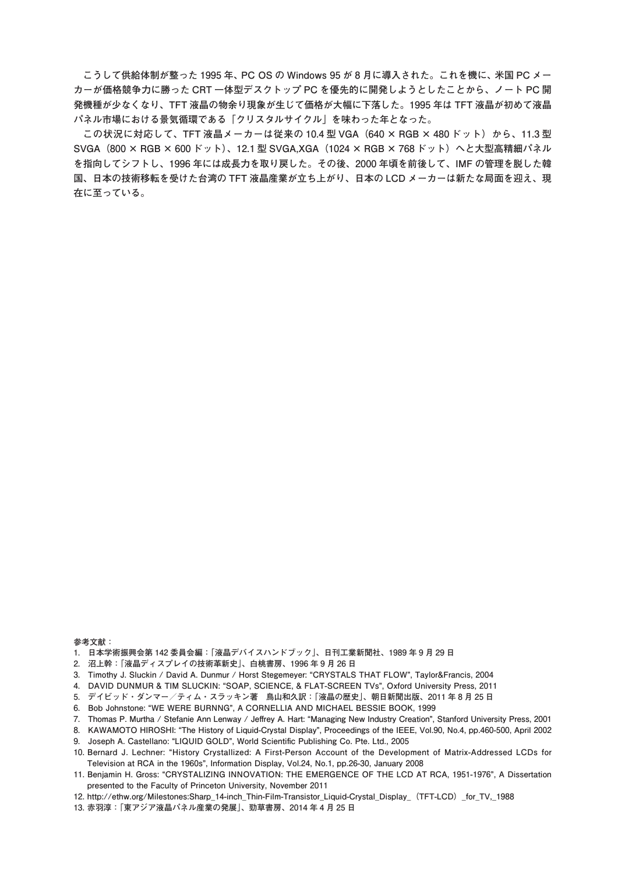**こうして供給体制が整った 1995 年、PC OS の Windows 95 が 8 月に導入された。これを機に、米国 PC メー カーが価格競争力に勝った CRT 一体型デスクトップ PC を優先的に開発しようとしたことから、ノート PC 開 発機種が少なくなり、TFT 液晶の物余り現象が生じて価格が大幅に下落した。1995 年は TFT 液晶が初めて液晶 パネル市場における景気循環である「クリスタルサイクル」を味わった年となった。**

この状況に対応して、TFT 液晶メーカーは従来の 10.4 型 VGA(640 × RGB × 480 ドット)から、11.3 型 **SVGA(800 × RGB × 600 ドット)、12.1 型 SVGA,XGA(1024 × RGB × 768 ドット)へと大型高精細パネル を指向してシフトし、1996 年には成長力を取り戻した。その後、2000 年頃を前後して、IMF の管理を脱した韓 国、日本の技術移転を受けた台湾の TFT 液晶産業が立ち上がり、日本の LCD メーカーは新たな局面を迎え、現 在に至っている。**

**参考文献:**

- **1. 日本学術振興会第 142 委員会編:「液晶デバイスハンドブック」、日刊工業新聞社、1989 年 9 月 29 日**
- **2. 沼上幹:「液晶ディスプレイの技術革新史」、白桃書房、1996 年 9 月 26 日**
- **3. Timothy J. Sluckin / David A. Dunmur / Horst Stegemeyer: "CRYSTALS THAT FLOW", Taylor&Francis, 2004**
- **4. DAVID DUNMUR & TIM SLUCKIN: "SOAP, SCIENCE, & FLAT-SCREEN TVs", Oxford University Press, 2011**
- **5. デイビッド・ダンマー/ティム・スラッキン著 鳥山和久訳:「液晶の歴史」、朝日新聞出版、2011 年 8 月 25 日**
- **6. Bob Johnstone: "WE WERE BURNNG", A CORNELLIA AND MICHAEL BESSIE BOOK, 1999**
- 7. Thomas P. Murtha / Stefanie Ann Lenway / Jeffrey A. Hart: "Managing New Industry Creation", Stanford University Press, 2001
- **8. KAWAMOTO HIROSHI: "The History of Liquid-Crystal Display", Proceedings of the IEEE, Vol.90, No.4, pp.460-500, April 2002**
- 9. Joseph A. Castellano: "LIQUID GOLD", World Scientific Publishing Co. Pte. Ltd., 2005
- **10. Bernard J. Lechner: "History Crystallized: A First-Person Account of the Development of Matrix-Addressed LCDs for Television at RCA in the 1960s", Information Display, Vol.24, No.1, pp.26-30, January 2008**
- **11. Benjamin H. Gross: "CRYSTALIZING INNOVATION: THE EMERGENCE OF THE LCD AT RCA, 1951-1976", A Dissertation presented to the Faculty of Princeton University, November 2011**
- **12. http://ethw.org/Milestones:Sharp\_14-inch\_Thin-Film-Transistor\_Liquid-Crystal\_Display\_(TFT-LCD)\_for\_TV,\_1988**
- **13. 赤羽淳:「東アジア液晶パネル産業の発展」、勁草書房、2014 年 4 月 25 日**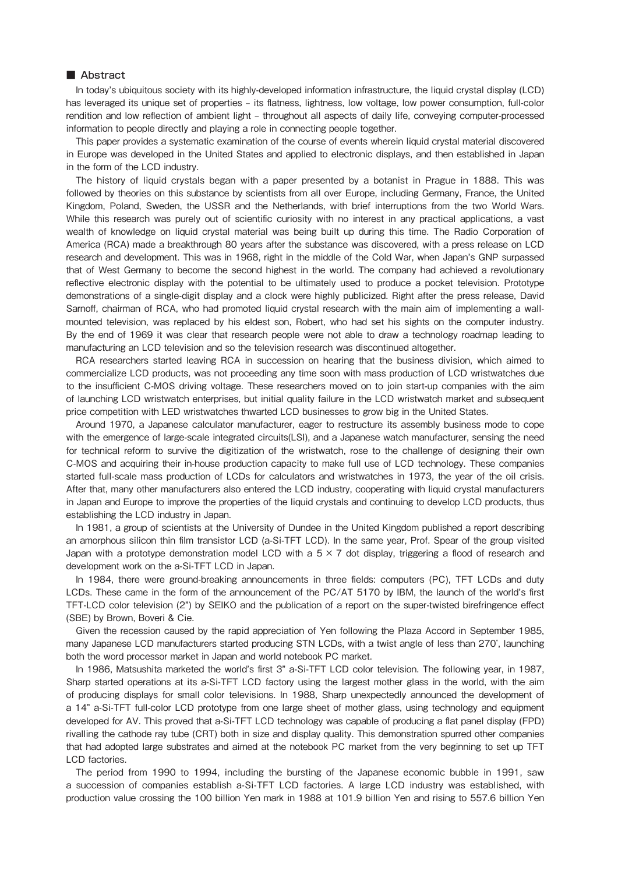# ■ Abstract

In today's ubiquitous society with its highly-developed information infrastructure, the liquid crystal display (LCD) has leveraged its unique set of properties – its flatness, lightness, low voltage, low power consumption, full-color rendition and low reflection of ambient light - throughout all aspects of daily life, conveying computer-processed information to people directly and playing a role in connecting people together.

This paper provides a systematic examination of the course of events wherein liquid crystal material discovered in Europe was developed in the United States and applied to electronic displays, and then established in Japan in the form of the LCD industry.

The history of liquid crystals began with a paper presented by a botanist in Prague in 1888. This was followed by theories on this substance by scientists from all over Europe, including Germany, France, the United Kingdom, Poland, Sweden, the USSR and the Netherlands, with brief interruptions from the two World Wars. While this research was purely out of scientific curiosity with no interest in any practical applications, a vast wealth of knowledge on liquid crystal material was being built up during this time. The Radio Corporation of America (RCA) made a breakthrough 80 years after the substance was discovered, with a press release on LCD research and development. This was in 1968, right in the middle of the Cold War, when Japan's GNP surpassed that of West Germany to become the second highest in the world. The company had achieved a revolutionary reflective electronic display with the potential to be ultimately used to produce a pocket television. Prototype demonstrations of a single-digit display and a clock were highly publicized. Right after the press release, David Sarnoff, chairman of RCA, who had promoted liquid crystal research with the main aim of implementing a wallmounted television, was replaced by his eldest son, Robert, who had set his sights on the computer industry. By the end of 1969 it was clear that research people were not able to draw a technology roadmap leading to manufacturing an LCD television and so the television research was discontinued altogether.

RCA researchers started leaving RCA in succession on hearing that the business division, which aimed to commercialize LCD products, was not proceeding any time soon with mass production of LCD wristwatches due to the insufficient C-MOS driving voltage. These researchers moved on to join start-up companies with the aim of launching LCD wristwatch enterprises, but initial quality failure in the LCD wristwatch market and subsequent price competition with LED wristwatches thwarted LCD businesses to grow big in the United States.

Around 1970, a Japanese calculator manufacturer, eager to restructure its assembly business mode to cope with the emergence of large-scale integrated circuits(LSI), and a Japanese watch manufacturer, sensing the need for technical reform to survive the digitization of the wristwatch, rose to the challenge of designing their own C-MOS and acquiring their in-house production capacity to make full use of LCD technology. These companies started full-scale mass production of LCDs for calculators and wristwatches in 1973, the year of the oil crisis. After that, many other manufacturers also entered the LCD industry, cooperating with liquid crystal manufacturers in Japan and Europe to improve the properties of the liquid crystals and continuing to develop LCD products, thus establishing the LCD industry in Japan.

In 1981, a group of scientists at the University of Dundee in the United Kingdom published a report describing an amorphous silicon thin film transistor LCD (a-Si-TFT LCD). In the same year, Prof. Spear of the group visited Japan with a prototype demonstration model LCD with a  $5 \times 7$  dot display, triggering a flood of research and development work on the a-Si-TFT LCD in Japan.

In 1984, there were ground-breaking announcements in three fields: computers (PC), TFT LCDs and duty LCDs. These came in the form of the announcement of the PC/AT 5170 by IBM, the launch of the world's first TFT-LCD color television (2") by SEIKO and the publication of a report on the super-twisted birefringence effect (SBE) by Brown, Boveri & Cie.

Given the recession caused by the rapid appreciation of Yen following the Plaza Accord in September 1985, many Japanese LCD manufacturers started producing STN LCDs, with a twist angle of less than 270̊, launching both the word processor market in Japan and world notebook PC market.

In 1986, Matsushita marketed the world's first 3" a-Si-TFT LCD color television. The following year, in 1987, Sharp started operations at its a-Si-TFT LCD factory using the largest mother glass in the world, with the aim of producing displays for small color televisions. In 1988, Sharp unexpectedly announced the development of a 14" a-Si-TFT full-color LCD prototype from one large sheet of mother glass, using technology and equipment developed for AV. This proved that a-Si-TFT LCD technology was capable of producing a flat panel display (FPD) rivalling the cathode ray tube (CRT) both in size and display quality. This demonstration spurred other companies that had adopted large substrates and aimed at the notebook PC market from the very beginning to set up TFT LCD factories.

The period from 1990 to 1994, including the bursting of the Japanese economic bubble in 1991, saw a succession of companies establish a-Si-TFT LCD factories. A large LCD industry was established, with production value crossing the 100 billion Yen mark in 1988 at 101.9 billion Yen and rising to 557.6 billion Yen